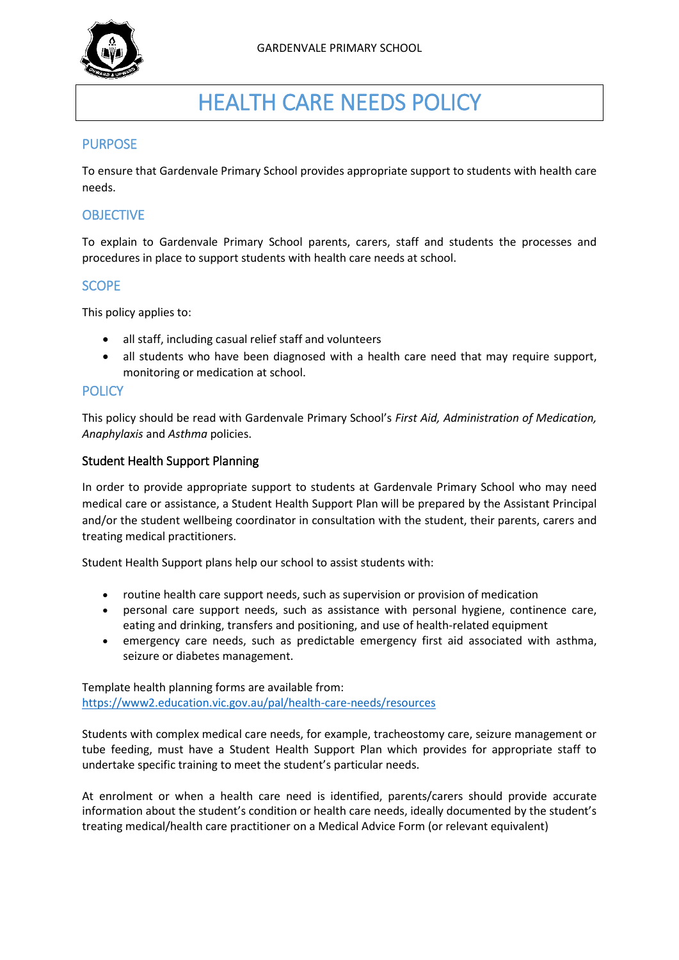

# HEALTH CARE NEEDS POLICY

## PURPOSE

To ensure that Gardenvale Primary School provides appropriate support to students with health care needs.

# **OBJECTIVE**

To explain to Gardenvale Primary School parents, carers, staff and students the processes and procedures in place to support students with health care needs at school.

## **SCOPE**

This policy applies to:

- all staff, including casual relief staff and volunteers
- all students who have been diagnosed with a health care need that may require support, monitoring or medication at school.

#### **POLICY**

This policy should be read with Gardenvale Primary School's *First Aid, Administration of Medication, Anaphylaxis* and *Asthma* policies.

#### Student Health Support Planning

In order to provide appropriate support to students at Gardenvale Primary School who may need medical care or assistance, a Student Health Support Plan will be prepared by the Assistant Principal and/or the student wellbeing coordinator in consultation with the student, their parents, carers and treating medical practitioners.

Student Health Support plans help our school to assist students with:

- routine health care support needs, such as supervision or provision of medication
- personal care support needs, such as assistance with personal hygiene, continence care, eating and drinking, transfers and positioning, and use of health-related equipment
- emergency care needs, such as predictable emergency first aid associated with asthma, seizure or diabetes management.

Template health planning forms are available from: <https://www2.education.vic.gov.au/pal/health-care-needs/resources>

Students with complex medical care needs, for example, tracheostomy care, seizure management or tube feeding, must have a Student Health Support Plan which provides for appropriate staff to undertake specific training to meet the student's particular needs.

At enrolment or when a health care need is identified, parents/carers should provide accurate information about the student's condition or health care needs, ideally documented by the student's treating medical/health care practitioner on a Medical Advice Form (or relevant equivalent)